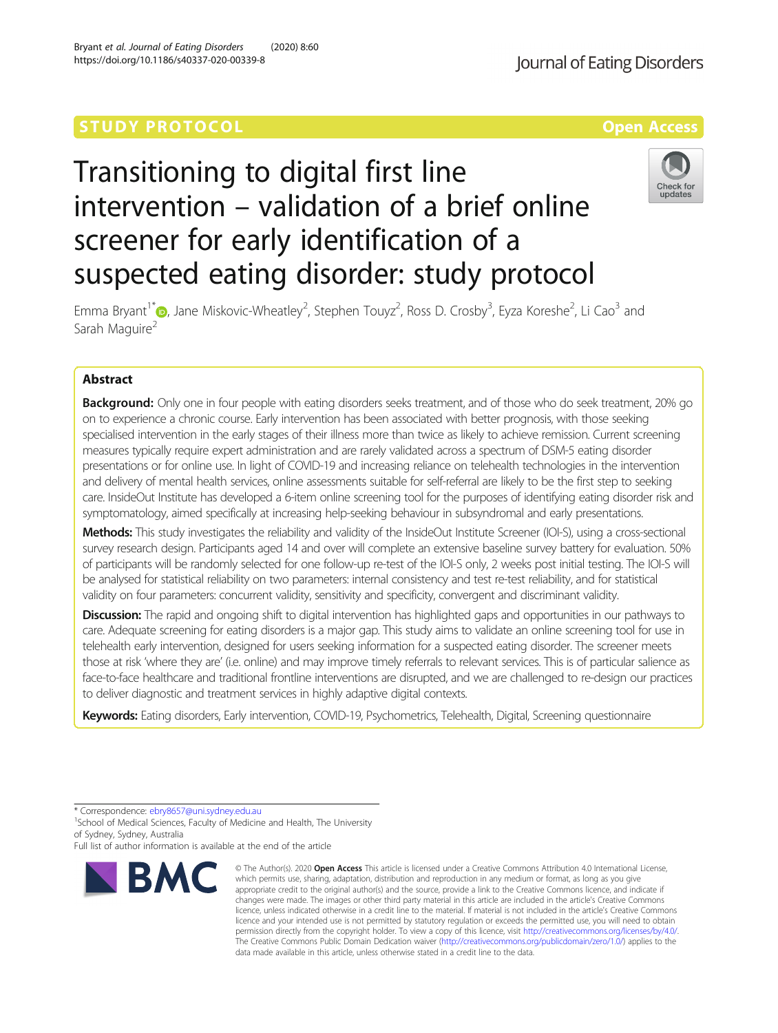# **STUDY PROTOCOL CONSUMING THE RESERVE ACCESS**

# Transitioning to digital first line intervention – validation of a brief online screener for early identification of a suspected eating disorder: study protocol

Emma Bryant<sup>1[\\*](http://orcid.org/0000-0003-1918-6020)</sup>®, Jane Miskovic-Wheatley<sup>2</sup>, Stephen Touyz<sup>2</sup>, Ross D. Crosby<sup>3</sup>, Eyza Koreshe<sup>2</sup>, Li Cao<sup>3</sup> and Sarah Maguire<sup>2</sup>

# Abstract

Background: Only one in four people with eating disorders seeks treatment, and of those who do seek treatment, 20% go on to experience a chronic course. Early intervention has been associated with better prognosis, with those seeking specialised intervention in the early stages of their illness more than twice as likely to achieve remission. Current screening measures typically require expert administration and are rarely validated across a spectrum of DSM-5 eating disorder presentations or for online use. In light of COVID-19 and increasing reliance on telehealth technologies in the intervention and delivery of mental health services, online assessments suitable for self-referral are likely to be the first step to seeking care. InsideOut Institute has developed a 6-item online screening tool for the purposes of identifying eating disorder risk and symptomatology, aimed specifically at increasing help-seeking behaviour in subsyndromal and early presentations.

Methods: This study investigates the reliability and validity of the InsideOut Institute Screener (IOI-S), using a cross-sectional survey research design. Participants aged 14 and over will complete an extensive baseline survey battery for evaluation. 50% of participants will be randomly selected for one follow-up re-test of the IOI-S only, 2 weeks post initial testing. The IOI-S will be analysed for statistical reliability on two parameters: internal consistency and test re-test reliability, and for statistical validity on four parameters: concurrent validity, sensitivity and specificity, convergent and discriminant validity.

Discussion: The rapid and ongoing shift to digital intervention has highlighted gaps and opportunities in our pathways to care. Adequate screening for eating disorders is a major gap. This study aims to validate an online screening tool for use in telehealth early intervention, designed for users seeking information for a suspected eating disorder. The screener meets those at risk 'where they are' (i.e. online) and may improve timely referrals to relevant services. This is of particular salience as face-to-face healthcare and traditional frontline interventions are disrupted, and we are challenged to re-design our practices to deliver diagnostic and treatment services in highly adaptive digital contexts.

Keywords: Eating disorders, Early intervention, COVID-19, Psychometrics, Telehealth, Digital, Screening questionnaire

\* Correspondence: [ebry8657@uni.sydney.edu.au](mailto:ebry8657@uni.sydney.edu.au) <sup>1</sup>

<sup>1</sup> School of Medical Sciences, Faculty of Medicine and Health, The University of Sydney, Sydney, Australia

Full list of author information is available at the end of the article







<sup>©</sup> The Author(s), 2020 **Open Access** This article is licensed under a Creative Commons Attribution 4.0 International License, which permits use, sharing, adaptation, distribution and reproduction in any medium or format, as long as you give appropriate credit to the original author(s) and the source, provide a link to the Creative Commons licence, and indicate if changes were made. The images or other third party material in this article are included in the article's Creative Commons licence, unless indicated otherwise in a credit line to the material. If material is not included in the article's Creative Commons licence and your intended use is not permitted by statutory regulation or exceeds the permitted use, you will need to obtain permission directly from the copyright holder. To view a copy of this licence, visit [http://creativecommons.org/licenses/by/4.0/.](http://creativecommons.org/licenses/by/4.0/) The Creative Commons Public Domain Dedication waiver [\(http://creativecommons.org/publicdomain/zero/1.0/](http://creativecommons.org/publicdomain/zero/1.0/)) applies to the data made available in this article, unless otherwise stated in a credit line to the data.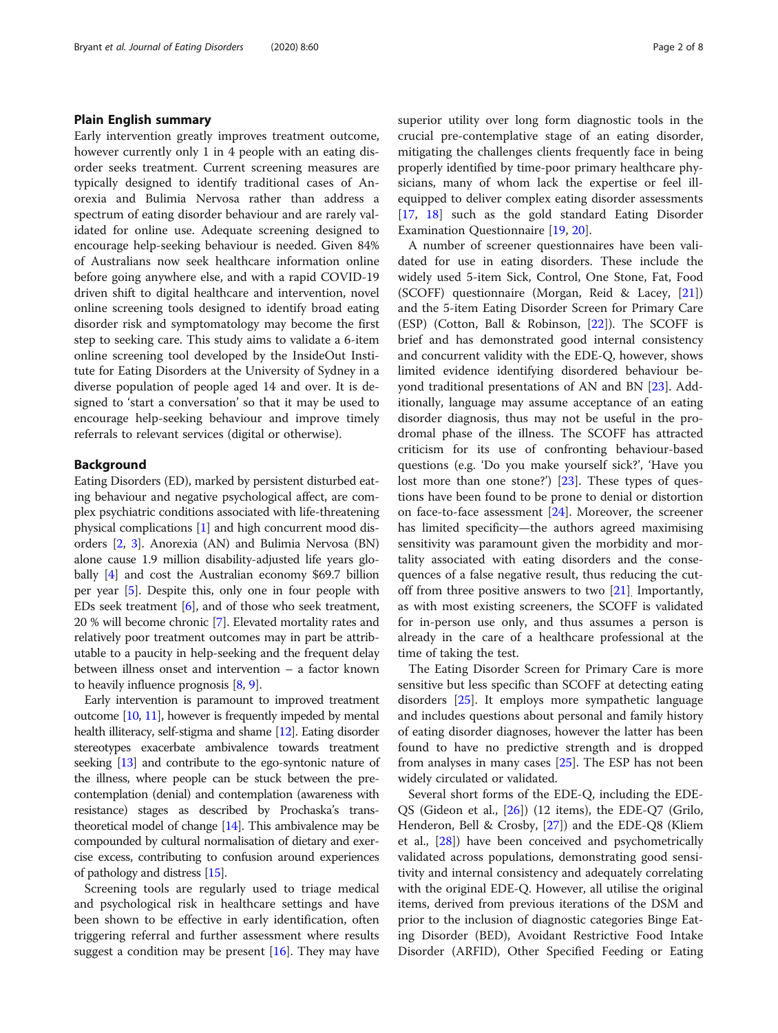# Plain English summary

Early intervention greatly improves treatment outcome, however currently only 1 in 4 people with an eating disorder seeks treatment. Current screening measures are typically designed to identify traditional cases of Anorexia and Bulimia Nervosa rather than address a spectrum of eating disorder behaviour and are rarely validated for online use. Adequate screening designed to encourage help-seeking behaviour is needed. Given 84% of Australians now seek healthcare information online before going anywhere else, and with a rapid COVID-19 driven shift to digital healthcare and intervention, novel online screening tools designed to identify broad eating disorder risk and symptomatology may become the first step to seeking care. This study aims to validate a 6-item online screening tool developed by the InsideOut Institute for Eating Disorders at the University of Sydney in a diverse population of people aged 14 and over. It is designed to 'start a conversation' so that it may be used to encourage help-seeking behaviour and improve timely referrals to relevant services (digital or otherwise).

## Background

Eating Disorders (ED), marked by persistent disturbed eating behaviour and negative psychological affect, are complex psychiatric conditions associated with life-threatening physical complications [\[1](#page-6-0)] and high concurrent mood disorders [\[2](#page-6-0), [3](#page-6-0)]. Anorexia (AN) and Bulimia Nervosa (BN) alone cause 1.9 million disability-adjusted life years globally [[4\]](#page-6-0) and cost the Australian economy \$69.7 billion per year [\[5](#page-6-0)]. Despite this, only one in four people with EDs seek treatment [[6\]](#page-6-0), and of those who seek treatment, 20 % will become chronic [[7](#page-6-0)]. Elevated mortality rates and relatively poor treatment outcomes may in part be attributable to a paucity in help-seeking and the frequent delay between illness onset and intervention – a factor known to heavily influence prognosis [\[8,](#page-6-0) [9](#page-6-0)].

Early intervention is paramount to improved treatment outcome [[10](#page-6-0), [11](#page-6-0)], however is frequently impeded by mental health illiteracy, self-stigma and shame [[12](#page-6-0)]. Eating disorder stereotypes exacerbate ambivalence towards treatment seeking [\[13\]](#page-6-0) and contribute to the ego-syntonic nature of the illness, where people can be stuck between the precontemplation (denial) and contemplation (awareness with resistance) stages as described by Prochaska's transtheoretical model of change  $[14]$  $[14]$ . This ambivalence may be compounded by cultural normalisation of dietary and exercise excess, contributing to confusion around experiences of pathology and distress [\[15\]](#page-6-0).

Screening tools are regularly used to triage medical and psychological risk in healthcare settings and have been shown to be effective in early identification, often triggering referral and further assessment where results suggest a condition may be present  $[16]$  $[16]$ . They may have superior utility over long form diagnostic tools in the crucial pre-contemplative stage of an eating disorder, mitigating the challenges clients frequently face in being properly identified by time-poor primary healthcare physicians, many of whom lack the expertise or feel illequipped to deliver complex eating disorder assessments [[17,](#page-6-0) [18](#page-6-0)] such as the gold standard Eating Disorder Examination Questionnaire [\[19](#page-6-0), [20\]](#page-6-0).

A number of screener questionnaires have been validated for use in eating disorders. These include the widely used 5-item Sick, Control, One Stone, Fat, Food (SCOFF) questionnaire (Morgan, Reid & Lacey, [\[21](#page-6-0)]) and the 5-item Eating Disorder Screen for Primary Care (ESP) (Cotton, Ball & Robinson, [[22\]](#page-6-0)). The SCOFF is brief and has demonstrated good internal consistency and concurrent validity with the EDE-Q, however, shows limited evidence identifying disordered behaviour beyond traditional presentations of AN and BN [\[23\]](#page-6-0). Additionally, language may assume acceptance of an eating disorder diagnosis, thus may not be useful in the prodromal phase of the illness. The SCOFF has attracted criticism for its use of confronting behaviour-based questions (e.g. 'Do you make yourself sick?', 'Have you lost more than one stone?') [\[23\]](#page-6-0). These types of questions have been found to be prone to denial or distortion on face-to-face assessment [[24\]](#page-6-0). Moreover, the screener has limited specificity—the authors agreed maximising sensitivity was paramount given the morbidity and mortality associated with eating disorders and the consequences of a false negative result, thus reducing the cutoff from three positive answers to two  $[21]$  $[21]$  Importantly, as with most existing screeners, the SCOFF is validated for in-person use only, and thus assumes a person is already in the care of a healthcare professional at the time of taking the test.

The Eating Disorder Screen for Primary Care is more sensitive but less specific than SCOFF at detecting eating disorders [[25](#page-6-0)]. It employs more sympathetic language and includes questions about personal and family history of eating disorder diagnoses, however the latter has been found to have no predictive strength and is dropped from analyses in many cases  $[25]$  $[25]$ . The ESP has not been widely circulated or validated.

Several short forms of the EDE-Q, including the EDE-QS (Gideon et al., [\[26](#page-6-0)]) (12 items), the EDE-Q7 (Grilo, Henderon, Bell & Crosby, [[27](#page-6-0)]) and the EDE-Q8 (Kliem et al., [\[28](#page-6-0)]) have been conceived and psychometrically validated across populations, demonstrating good sensitivity and internal consistency and adequately correlating with the original EDE-Q. However, all utilise the original items, derived from previous iterations of the DSM and prior to the inclusion of diagnostic categories Binge Eating Disorder (BED), Avoidant Restrictive Food Intake Disorder (ARFID), Other Specified Feeding or Eating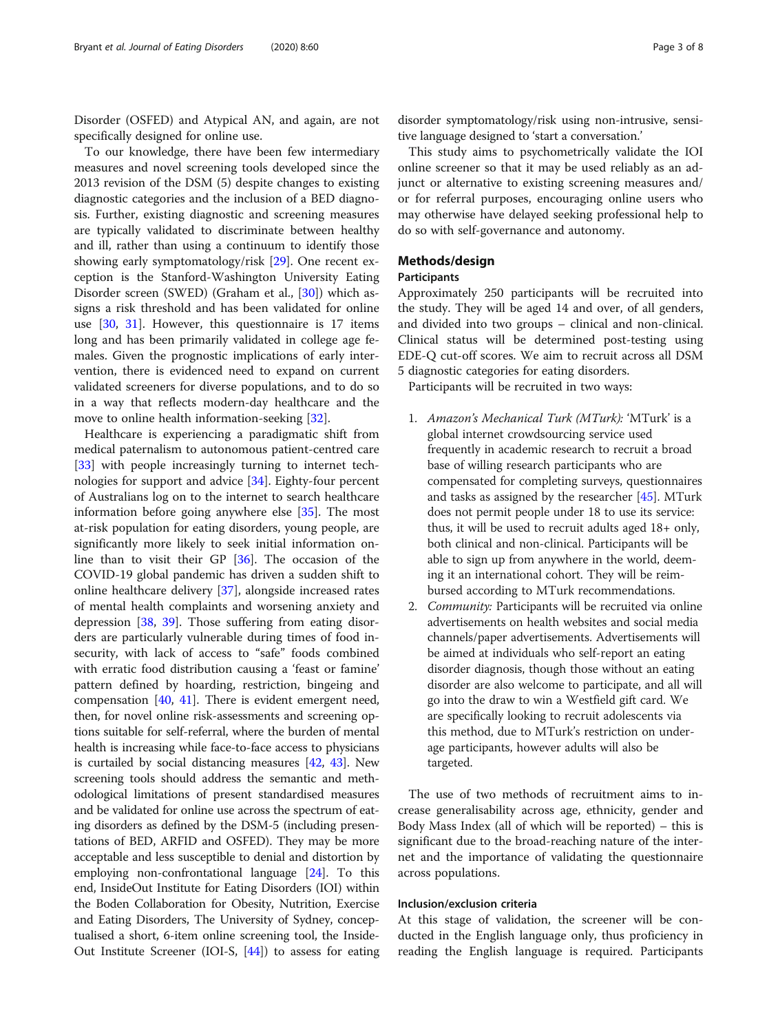Disorder (OSFED) and Atypical AN, and again, are not specifically designed for online use.

To our knowledge, there have been few intermediary measures and novel screening tools developed since the 2013 revision of the DSM (5) despite changes to existing diagnostic categories and the inclusion of a BED diagnosis. Further, existing diagnostic and screening measures are typically validated to discriminate between healthy and ill, rather than using a continuum to identify those showing early symptomatology/risk [\[29](#page-6-0)]. One recent exception is the Stanford-Washington University Eating Disorder screen (SWED) (Graham et al., [\[30](#page-6-0)]) which assigns a risk threshold and has been validated for online use [[30,](#page-6-0) [31\]](#page-6-0). However, this questionnaire is 17 items long and has been primarily validated in college age females. Given the prognostic implications of early intervention, there is evidenced need to expand on current validated screeners for diverse populations, and to do so in a way that reflects modern-day healthcare and the move to online health information-seeking [[32\]](#page-6-0).

Healthcare is experiencing a paradigmatic shift from medical paternalism to autonomous patient-centred care [[33\]](#page-6-0) with people increasingly turning to internet technologies for support and advice [\[34](#page-6-0)]. Eighty-four percent of Australians log on to the internet to search healthcare information before going anywhere else [[35\]](#page-6-0). The most at-risk population for eating disorders, young people, are significantly more likely to seek initial information online than to visit their GP [[36\]](#page-6-0). The occasion of the COVID-19 global pandemic has driven a sudden shift to online healthcare delivery [\[37](#page-6-0)], alongside increased rates of mental health complaints and worsening anxiety and depression [[38,](#page-7-0) [39](#page-7-0)]. Those suffering from eating disorders are particularly vulnerable during times of food insecurity, with lack of access to "safe" foods combined with erratic food distribution causing a 'feast or famine' pattern defined by hoarding, restriction, bingeing and compensation [\[40](#page-7-0), [41](#page-7-0)]. There is evident emergent need, then, for novel online risk-assessments and screening options suitable for self-referral, where the burden of mental health is increasing while face-to-face access to physicians is curtailed by social distancing measures [[42](#page-7-0), [43](#page-7-0)]. New screening tools should address the semantic and methodological limitations of present standardised measures and be validated for online use across the spectrum of eating disorders as defined by the DSM-5 (including presentations of BED, ARFID and OSFED). They may be more acceptable and less susceptible to denial and distortion by employing non-confrontational language [[24](#page-6-0)]. To this end, InsideOut Institute for Eating Disorders (IOI) within the Boden Collaboration for Obesity, Nutrition, Exercise and Eating Disorders, The University of Sydney, conceptualised a short, 6-item online screening tool, the Inside-Out Institute Screener (IOI-S, [\[44](#page-7-0)]) to assess for eating disorder symptomatology/risk using non-intrusive, sensitive language designed to 'start a conversation.'

This study aims to psychometrically validate the IOI online screener so that it may be used reliably as an adjunct or alternative to existing screening measures and/ or for referral purposes, encouraging online users who may otherwise have delayed seeking professional help to do so with self-governance and autonomy.

# Methods/design

# Participants

Approximately 250 participants will be recruited into the study. They will be aged 14 and over, of all genders, and divided into two groups – clinical and non-clinical. Clinical status will be determined post-testing using EDE-Q cut-off scores. We aim to recruit across all DSM 5 diagnostic categories for eating disorders.

Participants will be recruited in two ways:

- 1. Amazon's Mechanical Turk (MTurk): 'MTurk' is a global internet crowdsourcing service used frequently in academic research to recruit a broad base of willing research participants who are compensated for completing surveys, questionnaires and tasks as assigned by the researcher [[45](#page-7-0)]. MTurk does not permit people under 18 to use its service: thus, it will be used to recruit adults aged 18+ only, both clinical and non-clinical. Participants will be able to sign up from anywhere in the world, deeming it an international cohort. They will be reimbursed according to MTurk recommendations.
- 2. Community: Participants will be recruited via online advertisements on health websites and social media channels/paper advertisements. Advertisements will be aimed at individuals who self-report an eating disorder diagnosis, though those without an eating disorder are also welcome to participate, and all will go into the draw to win a Westfield gift card. We are specifically looking to recruit adolescents via this method, due to MTurk's restriction on underage participants, however adults will also be targeted.

The use of two methods of recruitment aims to increase generalisability across age, ethnicity, gender and Body Mass Index (all of which will be reported) – this is significant due to the broad-reaching nature of the internet and the importance of validating the questionnaire across populations.

# Inclusion/exclusion criteria

At this stage of validation, the screener will be conducted in the English language only, thus proficiency in reading the English language is required. Participants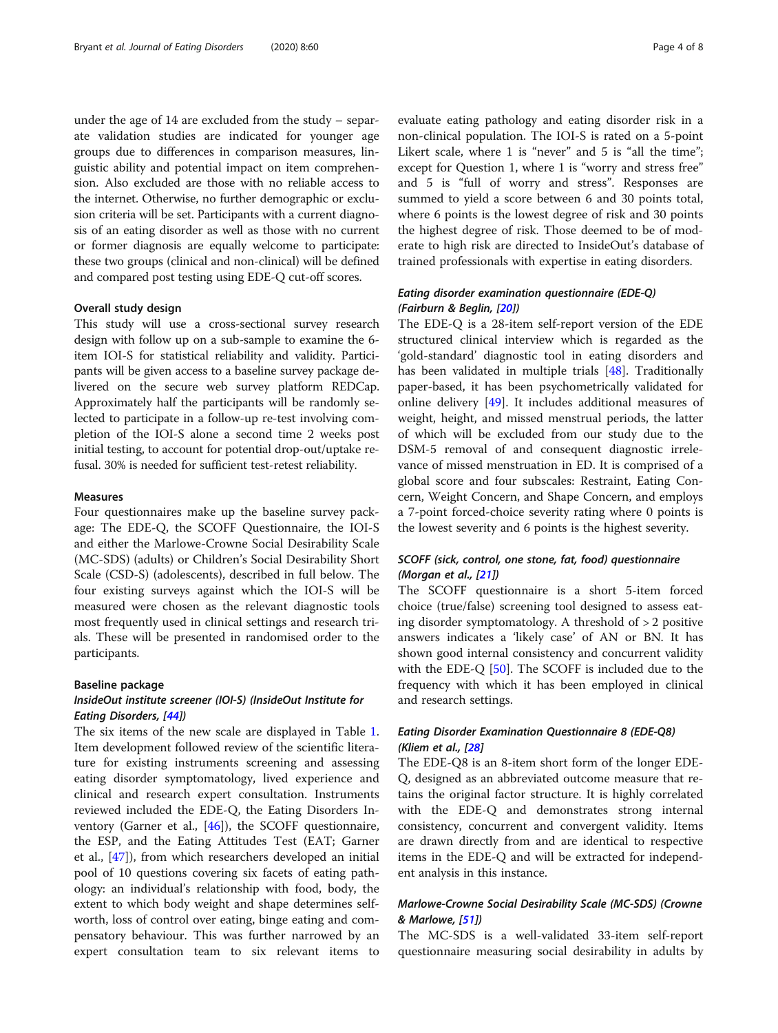under the age of 14 are excluded from the study – separate validation studies are indicated for younger age groups due to differences in comparison measures, linguistic ability and potential impact on item comprehension. Also excluded are those with no reliable access to the internet. Otherwise, no further demographic or exclusion criteria will be set. Participants with a current diagnosis of an eating disorder as well as those with no current or former diagnosis are equally welcome to participate: these two groups (clinical and non-clinical) will be defined and compared post testing using EDE-Q cut-off scores.

## Overall study design

This study will use a cross-sectional survey research design with follow up on a sub-sample to examine the 6 item IOI-S for statistical reliability and validity. Participants will be given access to a baseline survey package delivered on the secure web survey platform REDCap. Approximately half the participants will be randomly selected to participate in a follow-up re-test involving completion of the IOI-S alone a second time 2 weeks post initial testing, to account for potential drop-out/uptake refusal. 30% is needed for sufficient test-retest reliability.

## Measures

Four questionnaires make up the baseline survey package: The EDE-Q, the SCOFF Questionnaire, the IOI-S and either the Marlowe-Crowne Social Desirability Scale (MC-SDS) (adults) or Children's Social Desirability Short Scale (CSD-S) (adolescents), described in full below. The four existing surveys against which the IOI-S will be measured were chosen as the relevant diagnostic tools most frequently used in clinical settings and research trials. These will be presented in randomised order to the participants.

## Baseline package

# InsideOut institute screener (IOI-S) (InsideOut Institute for Eating Disorders, [[44](#page-7-0)])

The six items of the new scale are displayed in Table [1](#page-4-0). Item development followed review of the scientific literature for existing instruments screening and assessing eating disorder symptomatology, lived experience and clinical and research expert consultation. Instruments reviewed included the EDE-Q, the Eating Disorders Inventory (Garner et al.,  $[46]$ ), the SCOFF questionnaire, the ESP, and the Eating Attitudes Test (EAT; Garner et al., [[47\]](#page-7-0)), from which researchers developed an initial pool of 10 questions covering six facets of eating pathology: an individual's relationship with food, body, the extent to which body weight and shape determines selfworth, loss of control over eating, binge eating and compensatory behaviour. This was further narrowed by an expert consultation team to six relevant items to

evaluate eating pathology and eating disorder risk in a non-clinical population. The IOI-S is rated on a 5-point Likert scale, where 1 is "never" and 5 is "all the time"; except for Question 1, where 1 is "worry and stress free" and 5 is "full of worry and stress". Responses are summed to yield a score between 6 and 30 points total, where 6 points is the lowest degree of risk and 30 points the highest degree of risk. Those deemed to be of moderate to high risk are directed to InsideOut's database of trained professionals with expertise in eating disorders.

# Eating disorder examination questionnaire (EDE-Q) (Fairburn & Beglin, [[20](#page-6-0)])

The EDE-Q is a 28-item self-report version of the EDE structured clinical interview which is regarded as the 'gold-standard' diagnostic tool in eating disorders and has been validated in multiple trials [\[48](#page-7-0)]. Traditionally paper-based, it has been psychometrically validated for online delivery [\[49\]](#page-7-0). It includes additional measures of weight, height, and missed menstrual periods, the latter of which will be excluded from our study due to the DSM-5 removal of and consequent diagnostic irrelevance of missed menstruation in ED. It is comprised of a global score and four subscales: Restraint, Eating Concern, Weight Concern, and Shape Concern, and employs a 7-point forced-choice severity rating where 0 points is the lowest severity and 6 points is the highest severity.

# SCOFF (sick, control, one stone, fat, food) questionnaire (Morgan et al., [\[21\]](#page-6-0))

The SCOFF questionnaire is a short 5-item forced choice (true/false) screening tool designed to assess eating disorder symptomatology. A threshold of > 2 positive answers indicates a 'likely case' of AN or BN. It has shown good internal consistency and concurrent validity with the EDE-Q [[50\]](#page-7-0). The SCOFF is included due to the frequency with which it has been employed in clinical and research settings.

# Eating Disorder Examination Questionnaire 8 (EDE-Q8) (Kliem et al., [\[28\]](#page-6-0)

The EDE-Q8 is an 8-item short form of the longer EDE-Q, designed as an abbreviated outcome measure that retains the original factor structure. It is highly correlated with the EDE-Q and demonstrates strong internal consistency, concurrent and convergent validity. Items are drawn directly from and are identical to respective items in the EDE-Q and will be extracted for independent analysis in this instance.

# Marlowe-Crowne Social Desirability Scale (MC-SDS) (Crowne & Marlowe, [\[51\]](#page-7-0))

The MC-SDS is a well-validated 33-item self-report questionnaire measuring social desirability in adults by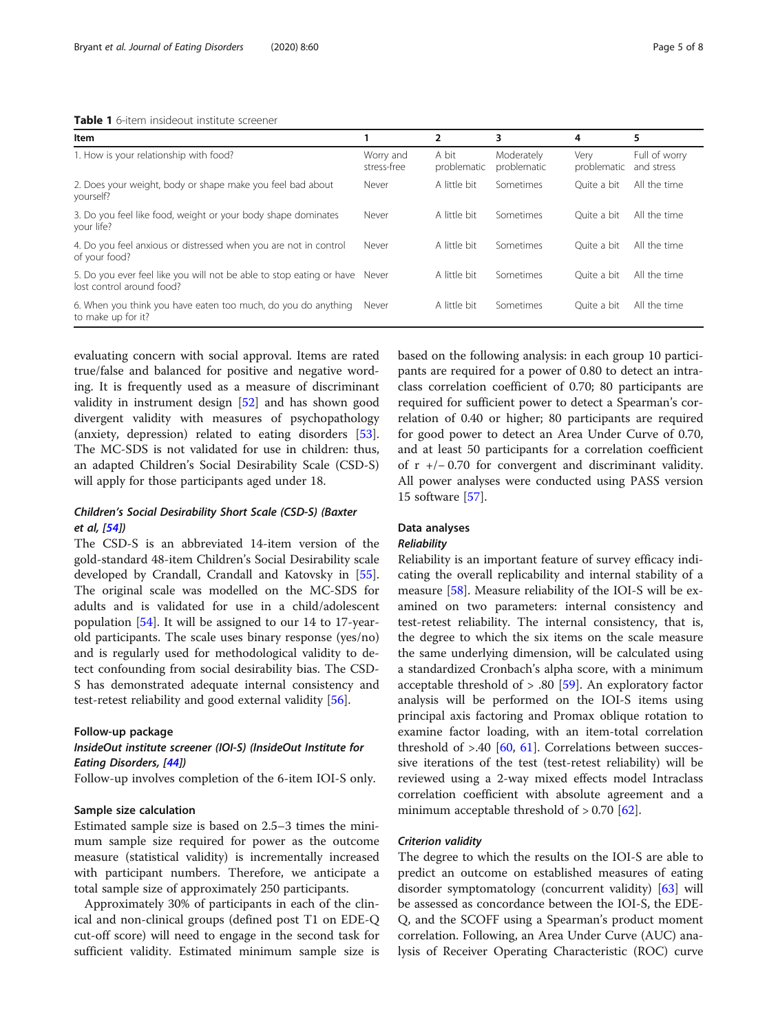<span id="page-4-0"></span>

|  | Table 1 6-item insideout institute screener |  |
|--|---------------------------------------------|--|
|  |                                             |  |

| Item                                                                                                    |                          | $\overline{2}$       | 3                         | 4                   | 5                           |
|---------------------------------------------------------------------------------------------------------|--------------------------|----------------------|---------------------------|---------------------|-----------------------------|
| 1. How is your relationship with food?                                                                  | Worry and<br>stress-free | A bit<br>problematic | Moderately<br>problematic | Very<br>problematic | Full of worry<br>and stress |
| 2. Does your weight, body or shape make you feel bad about<br>yourself?                                 | Never                    | A little bit         | Sometimes                 | Ouite a bit         | All the time                |
| 3. Do you feel like food, weight or your body shape dominates<br>your life?                             | Never                    | A little bit         | Sometimes                 | Ouite a bit         | All the time                |
| 4. Do you feel anxious or distressed when you are not in control<br>of your food?                       | Never                    | A little bit         | Sometimes                 | Ouite a bit         | All the time                |
| 5. Do you ever feel like you will not be able to stop eating or have Never<br>lost control around food? |                          | A little bit         | Sometimes                 | Ouite a bit         | All the time                |
| 6. When you think you have eaten too much, do you do anything<br>to make up for it?                     | Never                    | A little bit         | Sometimes                 | Ouite a bit         | All the time                |

evaluating concern with social approval. Items are rated true/false and balanced for positive and negative wording. It is frequently used as a measure of discriminant validity in instrument design [\[52](#page-7-0)] and has shown good divergent validity with measures of psychopathology (anxiety, depression) related to eating disorders [\[53](#page-7-0)]. The MC-SDS is not validated for use in children: thus, an adapted Children's Social Desirability Scale (CSD-S) will apply for those participants aged under 18.

# Children's Social Desirability Short Scale (CSD-S) (Baxter et al, [\[54\]](#page-7-0))

The CSD-S is an abbreviated 14-item version of the gold-standard 48-item Children's Social Desirability scale developed by Crandall, Crandall and Katovsky in [\[55](#page-7-0)]. The original scale was modelled on the MC-SDS for adults and is validated for use in a child/adolescent population [\[54](#page-7-0)]. It will be assigned to our 14 to 17-yearold participants. The scale uses binary response (yes/no) and is regularly used for methodological validity to detect confounding from social desirability bias. The CSD-S has demonstrated adequate internal consistency and test-retest reliability and good external validity [\[56](#page-7-0)].

# Follow-up package

# InsideOut institute screener (IOI-S) (InsideOut Institute for Eating Disorders, [[44](#page-7-0)])

Follow-up involves completion of the 6-item IOI-S only.

# Sample size calculation

Estimated sample size is based on 2.5–3 times the minimum sample size required for power as the outcome measure (statistical validity) is incrementally increased with participant numbers. Therefore, we anticipate a total sample size of approximately 250 participants.

Approximately 30% of participants in each of the clinical and non-clinical groups (defined post T1 on EDE-Q cut-off score) will need to engage in the second task for sufficient validity. Estimated minimum sample size is based on the following analysis: in each group 10 participants are required for a power of 0.80 to detect an intraclass correlation coefficient of 0.70; 80 participants are required for sufficient power to detect a Spearman's correlation of 0.40 or higher; 80 participants are required for good power to detect an Area Under Curve of 0.70, and at least 50 participants for a correlation coefficient of r +/− 0.70 for convergent and discriminant validity. All power analyses were conducted using PASS version 15 software [[57\]](#page-7-0).

# Data analyses

# **Reliability**

Reliability is an important feature of survey efficacy indicating the overall replicability and internal stability of a measure [\[58\]](#page-7-0). Measure reliability of the IOI-S will be examined on two parameters: internal consistency and test-retest reliability. The internal consistency, that is, the degree to which the six items on the scale measure the same underlying dimension, will be calculated using a standardized Cronbach's alpha score, with a minimum acceptable threshold of  $> 0.80$  [[59\]](#page-7-0). An exploratory factor analysis will be performed on the IOI-S items using principal axis factoring and Promax oblique rotation to examine factor loading, with an item-total correlation threshold of  $> 40$  [[60,](#page-7-0) [61](#page-7-0)]. Correlations between successive iterations of the test (test-retest reliability) will be reviewed using a 2-way mixed effects model Intraclass correlation coefficient with absolute agreement and a minimum acceptable threshold of  $> 0.70$  [\[62\]](#page-7-0).

## Criterion validity

The degree to which the results on the IOI-S are able to predict an outcome on established measures of eating disorder symptomatology (concurrent validity) [[63\]](#page-7-0) will be assessed as concordance between the IOI-S, the EDE-Q, and the SCOFF using a Spearman's product moment correlation. Following, an Area Under Curve (AUC) analysis of Receiver Operating Characteristic (ROC) curve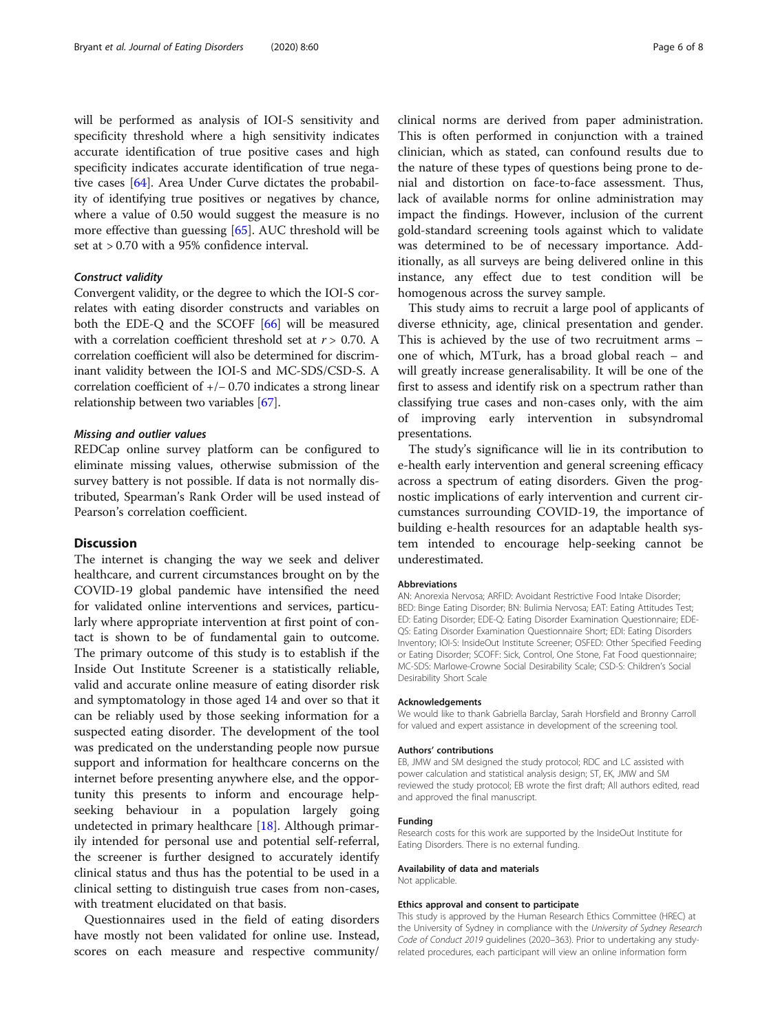will be performed as analysis of IOI-S sensitivity and specificity threshold where a high sensitivity indicates accurate identification of true positive cases and high specificity indicates accurate identification of true negative cases [[64](#page-7-0)]. Area Under Curve dictates the probability of identifying true positives or negatives by chance, where a value of 0.50 would suggest the measure is no more effective than guessing [[65\]](#page-7-0). AUC threshold will be set at > 0.70 with a 95% confidence interval.

## Construct validity

Convergent validity, or the degree to which the IOI-S correlates with eating disorder constructs and variables on both the EDE-Q and the SCOFF [\[66](#page-7-0)] will be measured with a correlation coefficient threshold set at  $r > 0.70$ . A correlation coefficient will also be determined for discriminant validity between the IOI-S and MC-SDS/CSD-S. A correlation coefficient of +/− 0.70 indicates a strong linear relationship between two variables [\[67\]](#page-7-0).

# Missing and outlier values

REDCap online survey platform can be configured to eliminate missing values, otherwise submission of the survey battery is not possible. If data is not normally distributed, Spearman's Rank Order will be used instead of Pearson's correlation coefficient.

# **Discussion**

The internet is changing the way we seek and deliver healthcare, and current circumstances brought on by the COVID-19 global pandemic have intensified the need for validated online interventions and services, particularly where appropriate intervention at first point of contact is shown to be of fundamental gain to outcome. The primary outcome of this study is to establish if the Inside Out Institute Screener is a statistically reliable, valid and accurate online measure of eating disorder risk and symptomatology in those aged 14 and over so that it can be reliably used by those seeking information for a suspected eating disorder. The development of the tool was predicated on the understanding people now pursue support and information for healthcare concerns on the internet before presenting anywhere else, and the opportunity this presents to inform and encourage helpseeking behaviour in a population largely going undetected in primary healthcare [\[18](#page-6-0)]. Although primarily intended for personal use and potential self-referral, the screener is further designed to accurately identify clinical status and thus has the potential to be used in a clinical setting to distinguish true cases from non-cases, with treatment elucidated on that basis.

Questionnaires used in the field of eating disorders have mostly not been validated for online use. Instead, scores on each measure and respective community/

clinical norms are derived from paper administration. This is often performed in conjunction with a trained clinician, which as stated, can confound results due to the nature of these types of questions being prone to denial and distortion on face-to-face assessment. Thus, lack of available norms for online administration may impact the findings. However, inclusion of the current gold-standard screening tools against which to validate was determined to be of necessary importance. Additionally, as all surveys are being delivered online in this instance, any effect due to test condition will be homogenous across the survey sample.

This study aims to recruit a large pool of applicants of diverse ethnicity, age, clinical presentation and gender. This is achieved by the use of two recruitment arms – one of which, MTurk, has a broad global reach – and will greatly increase generalisability. It will be one of the first to assess and identify risk on a spectrum rather than classifying true cases and non-cases only, with the aim of improving early intervention in subsyndromal presentations.

The study's significance will lie in its contribution to e-health early intervention and general screening efficacy across a spectrum of eating disorders. Given the prognostic implications of early intervention and current circumstances surrounding COVID-19, the importance of building e-health resources for an adaptable health system intended to encourage help-seeking cannot be underestimated.

## Abbreviations

AN: Anorexia Nervosa; ARFID: Avoidant Restrictive Food Intake Disorder; BED: Binge Eating Disorder; BN: Bulimia Nervosa; EAT: Eating Attitudes Test; ED: Eating Disorder; EDE-Q: Eating Disorder Examination Questionnaire; EDE-QS: Eating Disorder Examination Questionnaire Short; EDI: Eating Disorders Inventory; IOI-S: InsideOut Institute Screener; OSFED: Other Specified Feeding or Eating Disorder; SCOFF: Sick, Control, One Stone, Fat Food questionnaire; MC-SDS: Marlowe-Crowne Social Desirability Scale; CSD-S: Children's Social Desirability Short Scale

## Acknowledgements

We would like to thank Gabriella Barclay, Sarah Horsfield and Bronny Carroll for valued and expert assistance in development of the screening tool.

#### Authors' contributions

EB, JMW and SM designed the study protocol; RDC and LC assisted with power calculation and statistical analysis design; ST, EK, JMW and SM reviewed the study protocol; EB wrote the first draft; All authors edited, read and approved the final manuscript.

## Funding

Research costs for this work are supported by the InsideOut Institute for Eating Disorders. There is no external funding.

## Availability of data and materials

Not applicable.

## Ethics approval and consent to participate

This study is approved by the Human Research Ethics Committee (HREC) at the University of Sydney in compliance with the University of Sydney Research Code of Conduct 2019 guidelines (2020–363). Prior to undertaking any studyrelated procedures, each participant will view an online information form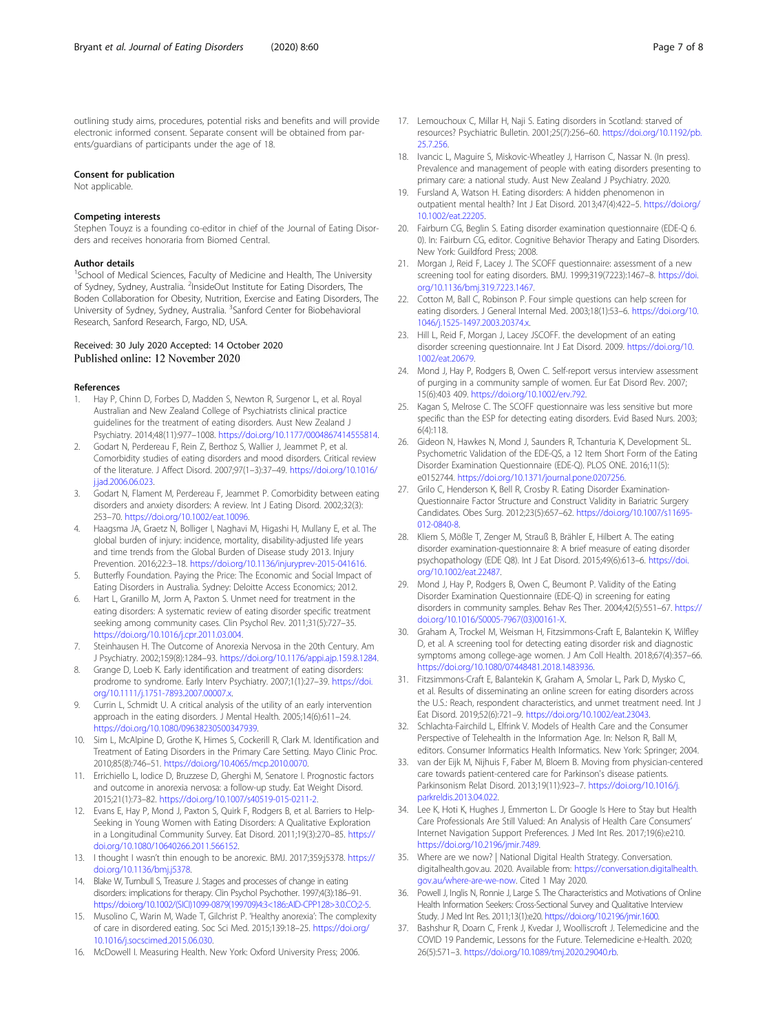<span id="page-6-0"></span>outlining study aims, procedures, potential risks and benefits and will provide electronic informed consent. Separate consent will be obtained from parents/guardians of participants under the age of 18.

## Consent for publication

Not applicable.

#### Competing interests

Stephen Touyz is a founding co-editor in chief of the Journal of Eating Disorders and receives honoraria from Biomed Central.

## Author details

<sup>1</sup>School of Medical Sciences, Faculty of Medicine and Health, The University of Sydney, Sydney, Australia. <sup>2</sup>InsideOut Institute for Eating Disorders, The Boden Collaboration for Obesity, Nutrition, Exercise and Eating Disorders, The University of Sydney, Sydney, Australia. <sup>3</sup>Sanford Center for Biobehavioral Research, Sanford Research, Fargo, ND, USA.

## Received: 30 July 2020 Accepted: 14 October 2020 Published online: 12 November 2020

#### References

- 1. Hay P, Chinn D, Forbes D, Madden S, Newton R, Surgenor L, et al. Royal Australian and New Zealand College of Psychiatrists clinical practice guidelines for the treatment of eating disorders. Aust New Zealand J Psychiatry. 2014;48(11):977–1008. <https://doi.org/10.1177/0004867414555814>.
- 2. Godart N, Perdereau F, Rein Z, Berthoz S, Wallier J, Jeammet P, et al. Comorbidity studies of eating disorders and mood disorders. Critical review of the literature. J Affect Disord. 2007;97(1–3):37–49. [https://doi.org/10.1016/](https://doi.org/10.1016/j.jad.2006.06.023) [j.jad.2006.06.023](https://doi.org/10.1016/j.jad.2006.06.023).
- Godart N, Flament M, Perdereau F, Jeammet P. Comorbidity between eating disorders and anxiety disorders: A review. Int J Eating Disord. 2002;32(3): 253–70. [https://doi.org/10.1002/eat.10096.](https://doi.org/10.1002/eat.10096)
- 4. Haagsma JA, Graetz N, Bolliger I, Naghavi M, Higashi H, Mullany E, et al. The global burden of injury: incidence, mortality, disability-adjusted life years and time trends from the Global Burden of Disease study 2013. Injury Prevention. 2016;22:3–18. <https://doi.org/10.1136/injuryprev-2015-041616>.
- 5. Butterfly Foundation. Paying the Price: The Economic and Social Impact of Eating Disorders in Australia. Sydney: Deloitte Access Economics; 2012.
- Hart L, Granillo M, Jorm A, Paxton S. Unmet need for treatment in the eating disorders: A systematic review of eating disorder specific treatment seeking among community cases. Clin Psychol Rev. 2011;31(5):727–35. [https://doi.org/10.1016/j.cpr.2011.03.004.](https://doi.org/10.1016/j.cpr.2011.03.004)
- 7. Steinhausen H. The Outcome of Anorexia Nervosa in the 20th Century. Am J Psychiatry. 2002;159(8):1284–93. [https://doi.org/10.1176/appi.ajp.159.8.1284.](https://doi.org/10.1176/appi.ajp.159.8.1284)
- 8. Grange D, Loeb K. Early identification and treatment of eating disorders: prodrome to syndrome. Early Interv Psychiatry. 2007;1(1):27–39. [https://doi.](https://doi.org/10.1111/j.1751-7893.2007.00007.x) [org/10.1111/j.1751-7893.2007.00007.x](https://doi.org/10.1111/j.1751-7893.2007.00007.x).
- 9. Currin L, Schmidt U. A critical analysis of the utility of an early intervention approach in the eating disorders. J Mental Health. 2005;14(6):611–24. [https://doi.org/10.1080/09638230500347939.](https://doi.org/10.1080/09638230500347939)
- 10. Sim L, McAlpine D, Grothe K, Himes S, Cockerill R, Clark M. Identification and Treatment of Eating Disorders in the Primary Care Setting. Mayo Clinic Proc. 2010;85(8):746–51. <https://doi.org/10.4065/mcp.2010.0070>.
- 11. Errichiello L, Iodice D, Bruzzese D, Gherghi M, Senatore I. Prognostic factors and outcome in anorexia nervosa: a follow-up study. Eat Weight Disord. 2015;21(1):73–82. [https://doi.org/10.1007/s40519-015-0211-2.](https://doi.org/10.1007/s40519-015-0211-2)
- 12. Evans E, Hay P, Mond J, Paxton S, Quirk F, Rodgers B, et al. Barriers to Help-Seeking in Young Women with Eating Disorders: A Qualitative Exploration in a Longitudinal Community Survey. Eat Disord. 2011;19(3):270–85. [https://](https://doi.org/10.1080/10640266.2011.566152) [doi.org/10.1080/10640266.2011.566152](https://doi.org/10.1080/10640266.2011.566152).
- 13. I thought I wasn't thin enough to be anorexic. BMJ. 2017;359:j5378. [https://](https://doi.org/10.1136/bmj.j5378) [doi.org/10.1136/bmj.j5378.](https://doi.org/10.1136/bmj.j5378)
- 14. Blake W, Turnbull S, Treasure J. Stages and processes of change in eating disorders: implications for therapy. Clin Psychol Psychother. 1997;4(3):186–91. [https://doi.org/10.1002/\(SICI\)1099-0879\(199709\)4:3<186::AID-CPP128>3.0.CO;2-5.](https://doi.org/10.1002/(SICI)1099-0879(199709)4:3<186::AID-CPP128>3.0.CO;2-5)
- 15. Musolino C, Warin M, Wade T, Gilchrist P. 'Healthy anorexia': The complexity of care in disordered eating. Soc Sci Med. 2015;139:18–25. [https://doi.org/](https://doi.org/10.1016/j.socscimed.2015.06.030) [10.1016/j.socscimed.2015.06.030](https://doi.org/10.1016/j.socscimed.2015.06.030).
- 16. McDowell I. Measuring Health. New York: Oxford University Press; 2006.
- 17. Lemouchoux C, Millar H, Naji S. Eating disorders in Scotland: starved of resources? Psychiatric Bulletin. 2001;25(7):256–60. [https://doi.org/10.1192/pb.](https://doi.org/10.1192/pb.25.7.256) [25.7.256.](https://doi.org/10.1192/pb.25.7.256)
- 18. Ivancic L, Maguire S, Miskovic-Wheatley J, Harrison C, Nassar N. (In press). Prevalence and management of people with eating disorders presenting to primary care: a national study. Aust New Zealand J Psychiatry. 2020.
- 19. Fursland A, Watson H. Eating disorders: A hidden phenomenon in outpatient mental health? Int J Eat Disord. 2013;47(4):422–5. [https://doi.org/](https://doi.org/10.1002/eat.22205) [10.1002/eat.22205.](https://doi.org/10.1002/eat.22205)
- 20. Fairburn CG, Beglin S. Eating disorder examination questionnaire (EDE-Q 6. 0). In: Fairburn CG, editor. Cognitive Behavior Therapy and Eating Disorders. New York: Guildford Press; 2008.
- 21. Morgan J, Reid F, Lacey J. The SCOFF questionnaire: assessment of a new screening tool for eating disorders. BMJ. 1999;319(7223):1467–8. [https://doi.](https://doi.org/10.1136/bmj.319.7223.1467) [org/10.1136/bmj.319.7223.1467](https://doi.org/10.1136/bmj.319.7223.1467).
- 22. Cotton M, Ball C, Robinson P. Four simple questions can help screen for eating disorders. J General Internal Med. 2003;18(1):53–6. [https://doi.org/10.](https://doi.org/10.1046/j.1525-1497.2003.20374.x) [1046/j.1525-1497.2003.20374.x](https://doi.org/10.1046/j.1525-1497.2003.20374.x).
- 23. Hill L, Reid F, Morgan J, Lacey JSCOFF. the development of an eating disorder screening questionnaire. Int J Eat Disord. 2009. [https://doi.org/10.](https://doi.org/10.1002/eat.20679) [1002/eat.20679.](https://doi.org/10.1002/eat.20679)
- 24. Mond J, Hay P, Rodgers B, Owen C. Self-report versus interview assessment of purging in a community sample of women. Eur Eat Disord Rev. 2007; 15(6):403 409. <https://doi.org/10.1002/erv.792>.
- 25. Kagan S, Melrose C. The SCOFF questionnaire was less sensitive but more specific than the ESP for detecting eating disorders. Evid Based Nurs. 2003; 6(4):118.
- 26. Gideon N, Hawkes N, Mond J, Saunders R, Tchanturia K, Development SL. Psychometric Validation of the EDE-QS, a 12 Item Short Form of the Eating Disorder Examination Questionnaire (EDE-Q). PLOS ONE. 2016;11(5): e0152744. <https://doi.org/10.1371/journal.pone.0207256>.
- 27. Grilo C, Henderson K, Bell R, Crosby R. Eating Disorder Examination-Questionnaire Factor Structure and Construct Validity in Bariatric Surgery Candidates. Obes Surg. 2012;23(5):657–62. [https://doi.org/10.1007/s11695-](https://doi.org/10.1007/s11695-012-0840-8) [012-0840-8](https://doi.org/10.1007/s11695-012-0840-8).
- 28. Kliem S, Mößle T, Zenger M, Strauß B, Brähler E, Hilbert A. The eating disorder examination-questionnaire 8: A brief measure of eating disorder psychopathology (EDE Q8). Int J Eat Disord. 2015;49(6):613–6. [https://doi.](https://doi.org/10.1002/eat.22487) [org/10.1002/eat.22487](https://doi.org/10.1002/eat.22487).
- 29. Mond J, Hay P, Rodgers B, Owen C, Beumont P. Validity of the Eating Disorder Examination Questionnaire (EDE-Q) in screening for eating disorders in community samples. Behav Res Ther. 2004;42(5):551–67. [https://](https://doi.org/10.1016/S0005-7967(03)00161-X) [doi.org/10.1016/S0005-7967\(03\)00161-X.](https://doi.org/10.1016/S0005-7967(03)00161-X)
- 30. Graham A, Trockel M, Weisman H, Fitzsimmons-Craft E, Balantekin K, Wilfley D, et al. A screening tool for detecting eating disorder risk and diagnostic symptoms among college-age women. J Am Coll Health. 2018;67(4):357–66. <https://doi.org/10.1080/07448481.2018.1483936>.
- 31. Fitzsimmons-Craft E, Balantekin K, Graham A, Smolar L, Park D, Mysko C, et al. Results of disseminating an online screen for eating disorders across the U.S.: Reach, respondent characteristics, and unmet treatment need. Int J Eat Disord. 2019;52(6):721–9. [https://doi.org/10.1002/eat.23043.](https://doi.org/10.1002/eat.23043)
- 32. Schlachta-Fairchild L, Elfrink V. Models of Health Care and the Consumer Perspective of Telehealth in the Information Age. In: Nelson R, Ball M, editors. Consumer Informatics Health Informatics. New York: Springer; 2004.
- 33. van der Eijk M, Nijhuis F, Faber M, Bloem B. Moving from physician-centered care towards patient-centered care for Parkinson's disease patients. Parkinsonism Relat Disord. 2013;19(11):923–7. [https://doi.org/10.1016/j.](https://doi.org/10.1016/j.parkreldis.2013.04.022) [parkreldis.2013.04.022.](https://doi.org/10.1016/j.parkreldis.2013.04.022)
- 34. Lee K, Hoti K, Hughes J, Emmerton L. Dr Google Is Here to Stay but Health Care Professionals Are Still Valued: An Analysis of Health Care Consumers' Internet Navigation Support Preferences. J Med Int Res. 2017;19(6):e210. [https://doi.org/10.2196/jmir.7489.](https://doi.org/10.2196/jmir.7489)
- 35. Where are we now? | National Digital Health Strategy. Conversation. digitalhealth.gov.au. 2020. Available from: [https://conversation.digitalhealth.](https://conversation.digitalhealth.gov.au/where-are-we-now) [gov.au/where-are-we-now](https://conversation.digitalhealth.gov.au/where-are-we-now). Cited 1 May 2020.
- 36. Powell J, Inglis N, Ronnie J, Large S. The Characteristics and Motivations of Online Health Information Seekers: Cross-Sectional Survey and Qualitative Interview Study. J Med Int Res. 2011;13(1):e20. [https://doi.org/10.2196/jmir.1600.](https://doi.org/10.2196/jmir.1600)
- 37. Bashshur R, Doarn C, Frenk J, Kvedar J, Woolliscroft J. Telemedicine and the COVID 19 Pandemic, Lessons for the Future. Telemedicine e-Health. 2020; 26(5):571–3. <https://doi.org/10.1089/tmj.2020.29040.rb>.